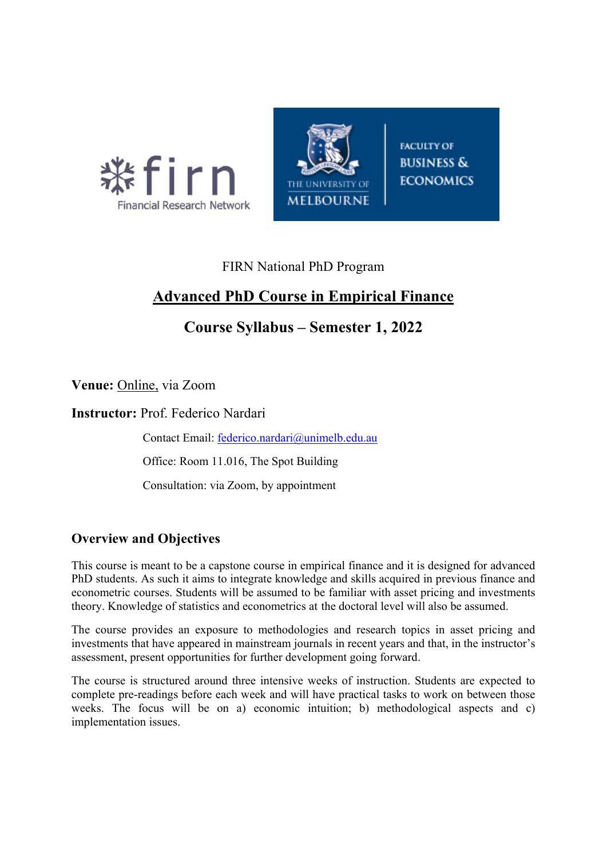



**FACULTY OF BUSINESS & ECONOMICS** 

# FIRN National PhD Program

# **Advanced PhD Course in Empirical Finance**

# **Course Syllabus – Semester 1, 2022**

**Venue:** Online, via Zoom

**Instructor:** Prof. Federico Nardari

Contact Email: federico.nardari@unimelb.edu.au

Office: Room 11.016, The Spot Building

Consultation: via Zoom, by appointment

## **Overview and Objectives**

This course is meant to be a capstone course in empirical finance and it is designed for advanced PhD students. As such it aims to integrate knowledge and skills acquired in previous finance and econometric courses. Students will be assumed to be familiar with asset pricing and investments theory. Knowledge of statistics and econometrics at the doctoral level will also be assumed.

The course provides an exposure to methodologies and research topics in asset pricing and investments that have appeared in mainstream journals in recent years and that, in the instructor's assessment, present opportunities for further development going forward.

The course is structured around three intensive weeks of instruction. Students are expected to complete pre-readings before each week and will have practical tasks to work on between those weeks. The focus will be on a) economic intuition; b) methodological aspects and c) implementation issues.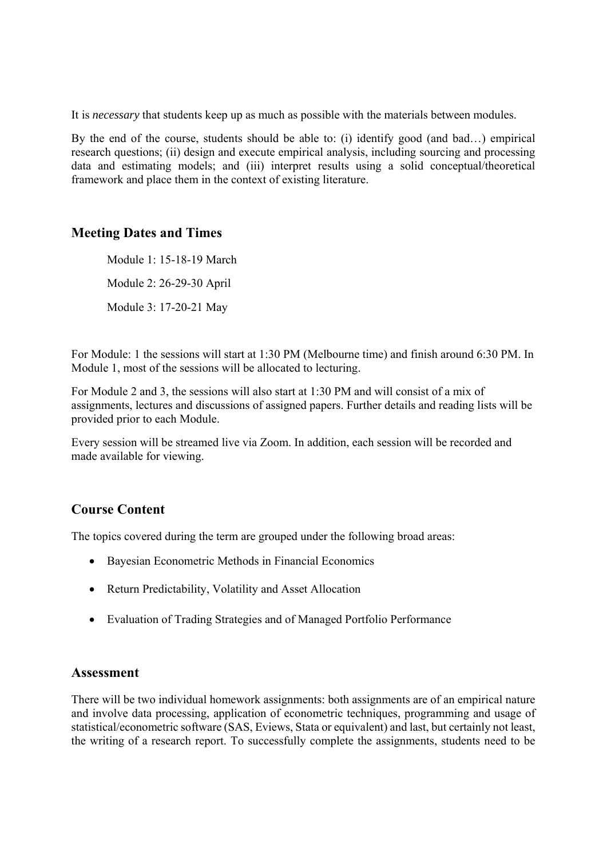It is *necessary* that students keep up as much as possible with the materials between modules.

By the end of the course, students should be able to: (i) identify good (and bad…) empirical research questions; (ii) design and execute empirical analysis, including sourcing and processing data and estimating models; and (iii) interpret results using a solid conceptual/theoretical framework and place them in the context of existing literature.

### **Meeting Dates and Times**

Module 1: 15-18-19 March Module 2: 26-29-30 April Module 3: 17-20-21 May

For Module: 1 the sessions will start at 1:30 PM (Melbourne time) and finish around 6:30 PM. In Module 1, most of the sessions will be allocated to lecturing.

For Module 2 and 3, the sessions will also start at 1:30 PM and will consist of a mix of assignments, lectures and discussions of assigned papers. Further details and reading lists will be provided prior to each Module.

Every session will be streamed live via Zoom. In addition, each session will be recorded and made available for viewing.

## **Course Content**

The topics covered during the term are grouped under the following broad areas:

- Bayesian Econometric Methods in Financial Economics
- Return Predictability, Volatility and Asset Allocation
- Evaluation of Trading Strategies and of Managed Portfolio Performance

#### **Assessment**

There will be two individual homework assignments: both assignments are of an empirical nature and involve data processing, application of econometric techniques, programming and usage of statistical/econometric software (SAS, Eviews, Stata or equivalent) and last, but certainly not least, the writing of a research report. To successfully complete the assignments, students need to be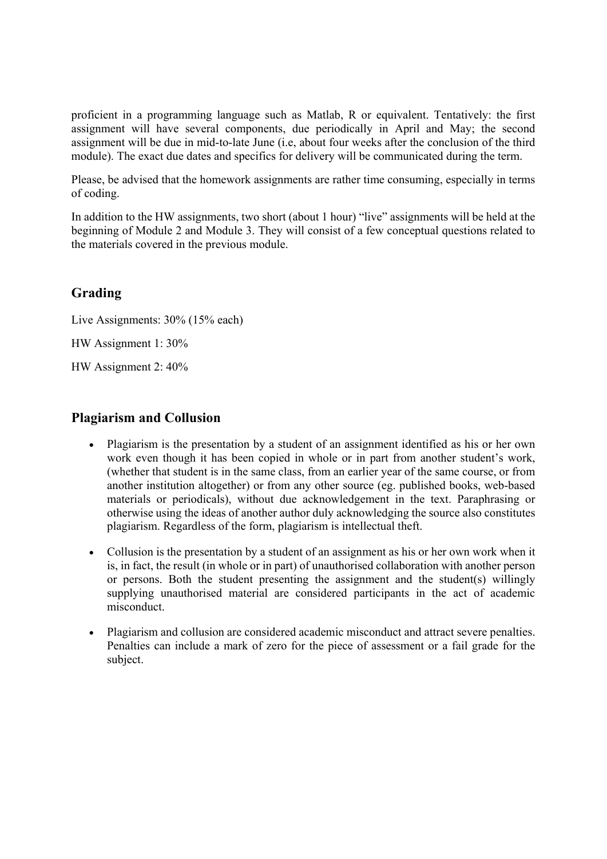proficient in a programming language such as Matlab, R or equivalent. Tentatively: the first assignment will have several components, due periodically in April and May; the second assignment will be due in mid-to-late June (i.e, about four weeks after the conclusion of the third module). The exact due dates and specifics for delivery will be communicated during the term.

Please, be advised that the homework assignments are rather time consuming, especially in terms of coding.

In addition to the HW assignments, two short (about 1 hour) "live" assignments will be held at the beginning of Module 2 and Module 3. They will consist of a few conceptual questions related to the materials covered in the previous module.

## **Grading**

Live Assignments: 30% (15% each)

HW Assignment 1: 30%

HW Assignment 2: 40%

### **Plagiarism and Collusion**

- Plagiarism is the presentation by a student of an assignment identified as his or her own work even though it has been copied in whole or in part from another student's work, (whether that student is in the same class, from an earlier year of the same course, or from another institution altogether) or from any other source (eg. published books, web-based materials or periodicals), without due acknowledgement in the text. Paraphrasing or otherwise using the ideas of another author duly acknowledging the source also constitutes plagiarism. Regardless of the form, plagiarism is intellectual theft.
- Collusion is the presentation by a student of an assignment as his or her own work when it is, in fact, the result (in whole or in part) of unauthorised collaboration with another person or persons. Both the student presenting the assignment and the student(s) willingly supplying unauthorised material are considered participants in the act of academic misconduct.
- Plagiarism and collusion are considered academic misconduct and attract severe penalties. Penalties can include a mark of zero for the piece of assessment or a fail grade for the subject.